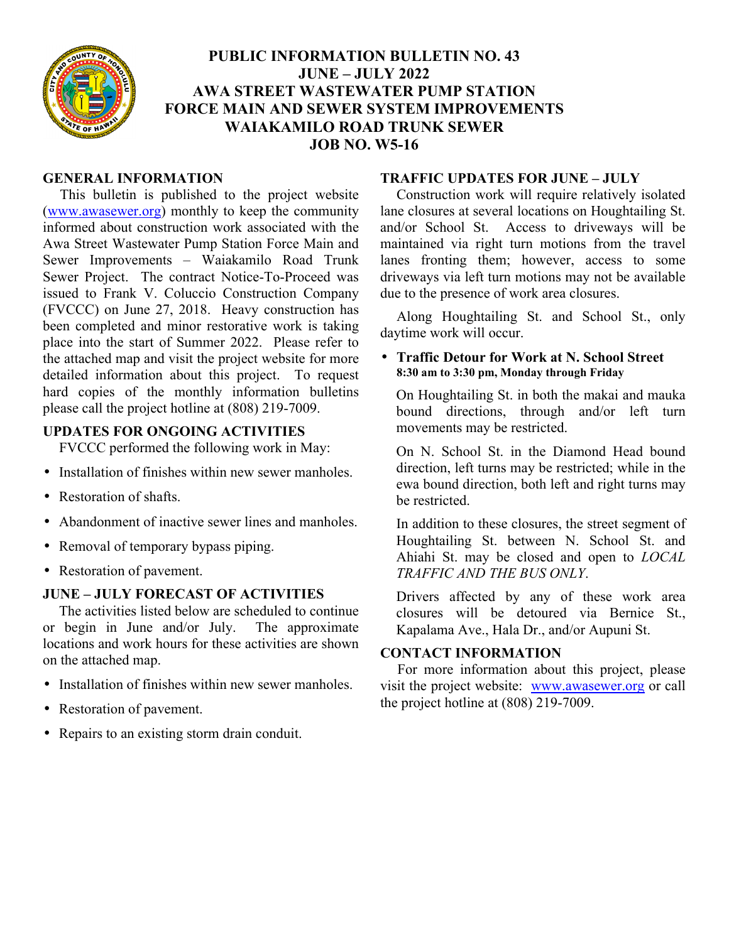

# **PUBLIC INFORMATION BULLETIN NO. 43 JUNE – JULY 2022 AWA STREET WASTEWATER PUMP STATION FORCE MAIN AND SEWER SYSTEM IMPROVEMENTS WAIAKAMILO ROAD TRUNK SEWER JOB NO. W5-16**

#### **GENERAL INFORMATION**

This bulletin is published to the project website (www.awasewer.org) monthly to keep the community informed about construction work associated with the Awa Street Wastewater Pump Station Force Main and Sewer Improvements – Waiakamilo Road Trunk Sewer Project. The contract Notice-To-Proceed was issued to Frank V. Coluccio Construction Company (FVCCC) on June 27, 2018. Heavy construction has been completed and minor restorative work is taking place into the start of Summer 2022. Please refer to the attached map and visit the project website for more detailed information about this project. To request hard copies of the monthly information bulletins please call the project hotline at (808) 219-7009.

# **UPDATES FOR ONGOING ACTIVITIES**

FVCCC performed the following work in May:

- Installation of finishes within new sewer manholes.
- Restoration of shafts.
- Abandonment of inactive sewer lines and manholes.
- Removal of temporary bypass piping.
- Restoration of pavement.

# **JUNE – JULY FORECAST OF ACTIVITIES**

The activities listed below are scheduled to continue or begin in June and/or July. The approximate locations and work hours for these activities are shown on the attached map.

- Installation of finishes within new sewer manholes.
- Restoration of pavement.
- Repairs to an existing storm drain conduit.

#### **TRAFFIC UPDATES FOR JUNE – JULY**

Construction work will require relatively isolated lane closures at several locations on Houghtailing St. and/or School St. Access to driveways will be maintained via right turn motions from the travel lanes fronting them; however, access to some driveways via left turn motions may not be available due to the presence of work area closures.

Along Houghtailing St. and School St., only daytime work will occur.

#### • **Traffic Detour for Work at N. School Street 8:30 am to 3:30 pm, Monday through Friday**

On Houghtailing St. in both the makai and mauka bound directions, through and/or left turn movements may be restricted.

On N. School St. in the Diamond Head bound direction, left turns may be restricted; while in the ewa bound direction, both left and right turns may be restricted.

In addition to these closures, the street segment of Houghtailing St. between N. School St. and Ahiahi St. may be closed and open to *LOCAL TRAFFIC AND THE BUS ONLY*.

Drivers affected by any of these work area closures will be detoured via Bernice St., Kapalama Ave., Hala Dr., and/or Aupuni St.

# **CONTACT INFORMATION**

For more information about this project, please visit the project website: www.awasewer.org or call the project hotline at (808) 219-7009.